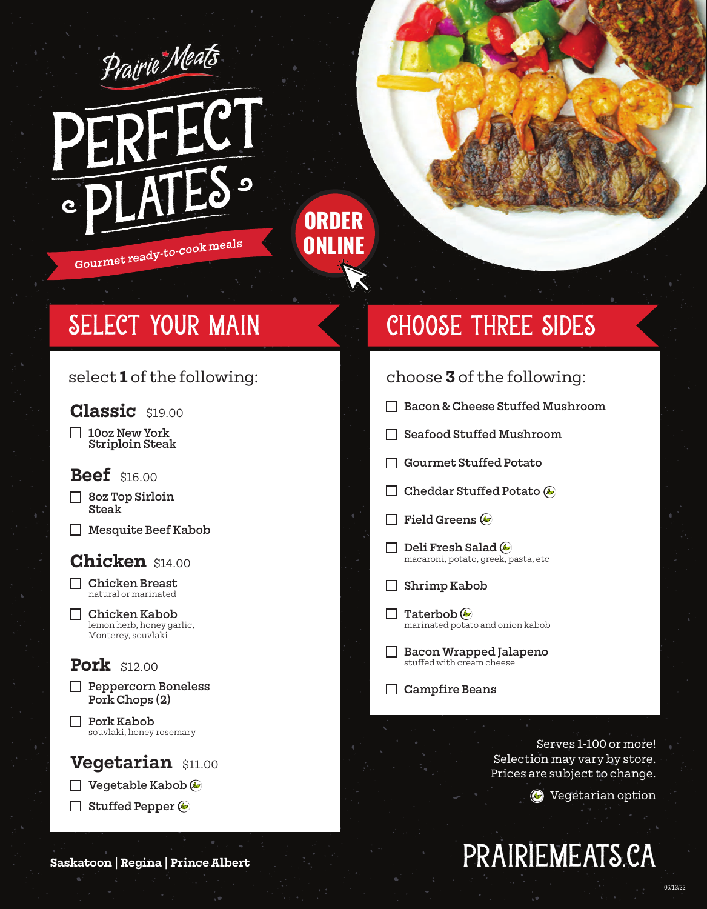Prairie Meats



### select **1** of the following:

### **Classic** \$19.00

□ 10oz New York Striploin Steak

### **Beef** \$16.00

- 8oz Top Sirloin Steak
- $\Box$  Mesquite Beef Kabob

### **Chicken** \$14.00

- □ Chicken Breast natural or marinated
- П Chicken Kabob lemon herb, honey garlic, Monterey, souvlaki

### **Pork** \$12.00

- $\Box$  Peppercorn Boneless Pork Chops (2)
- □ Pork Kabob souvlaki, honey rosemary

### **Vegetarian** \$11.00

- $\Box$  Vegetable Kabob $\circledast$
- $\Box$  Stuffed Pepper  $\circledast$

### SELECT YOUR MAIN CHOOSE THREE SIDES

**[ORDER](https://prairiemeats.ca/product-category/perfect-plates-gourmet-meals/)** 

**ONLINE**



Serves 1-100 or more! Selection may vary by store. Prices are subject to change.



 $\bullet$  Vegetarian option

# Saskatoon | Regina | Prince Albert<br>**Saskatoon | Regina | Prince Albert**